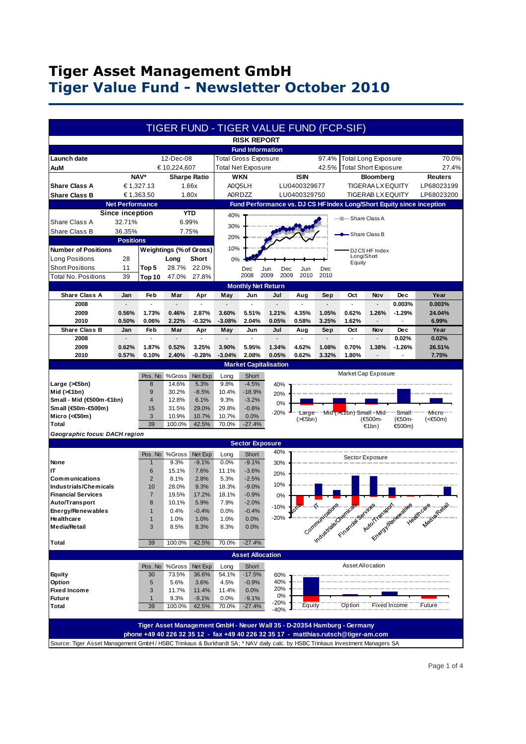# **Tiger Asset Management GmbH Tiger Value Fund - Newsletter October 2010**

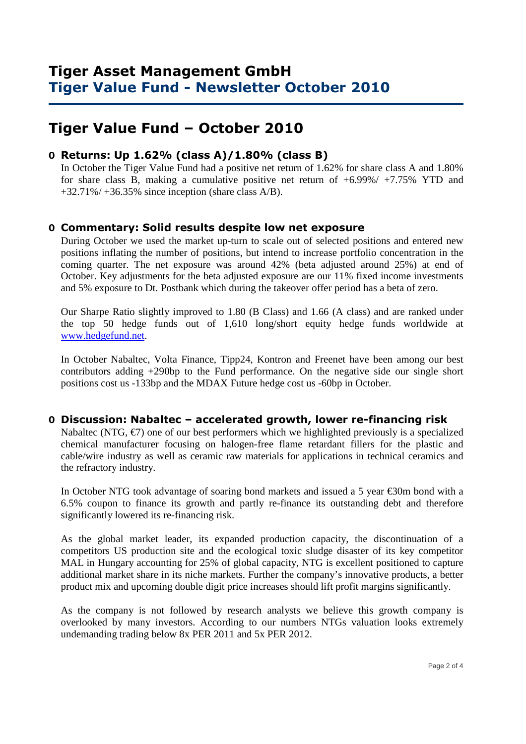# **Tiger Value Fund – October 2010**

### **O Returns: Up 1.62% (class A)/1.80% (class B)**

 In October the Tiger Value Fund had a positive net return of 1.62% for share class A and 1.80% for share class B, making a cumulative positive net return of  $+6.99\% / +7.75\%$  YTD and  $+32.71\%/+36.35\%$  since inception (share class A/B).

### **O Commentary: Solid results despite low net exposure**

During October we used the market up-turn to scale out of selected positions and entered new positions inflating the number of positions, but intend to increase portfolio concentration in the coming quarter. The net exposure was around 42% (beta adjusted around 25%) at end of October. Key adjustments for the beta adjusted exposure are our 11% fixed income investments and 5% exposure to Dt. Postbank which during the takeover offer period has a beta of zero.

Our Sharpe Ratio slightly improved to 1.80 (B Class) and 1.66 (A class) and are ranked under the top 50 hedge funds out of 1,610 long/short equity hedge funds worldwide at www.hedgefund.net.

In October Nabaltec, Volta Finance, Tipp24, Kontron and Freenet have been among our best contributors adding +290bp to the Fund performance. On the negative side our single short positions cost us -133bp and the MDAX Future hedge cost us -60bp in October.

#### **O Discussion: Nabaltec – accelerated growth, lower re-financing risk**

Nabaltec (NTG,  $\epsilon$ 7) one of our best performers which we highlighted previously is a specialized chemical manufacturer focusing on halogen-free flame retardant fillers for the plastic and cable/wire industry as well as ceramic raw materials for applications in technical ceramics and the refractory industry.

In October NTG took advantage of soaring bond markets and issued a 5 year €30m bond with a 6.5% coupon to finance its growth and partly re-finance its outstanding debt and therefore significantly lowered its re-financing risk.

As the global market leader, its expanded production capacity, the discontinuation of a competitors US production site and the ecological toxic sludge disaster of its key competitor MAL in Hungary accounting for 25% of global capacity, NTG is excellent positioned to capture additional market share in its niche markets. Further the company's innovative products, a better product mix and upcoming double digit price increases should lift profit margins significantly.

As the company is not followed by research analysts we believe this growth company is overlooked by many investors. According to our numbers NTGs valuation looks extremely undemanding trading below 8x PER 2011 and 5x PER 2012.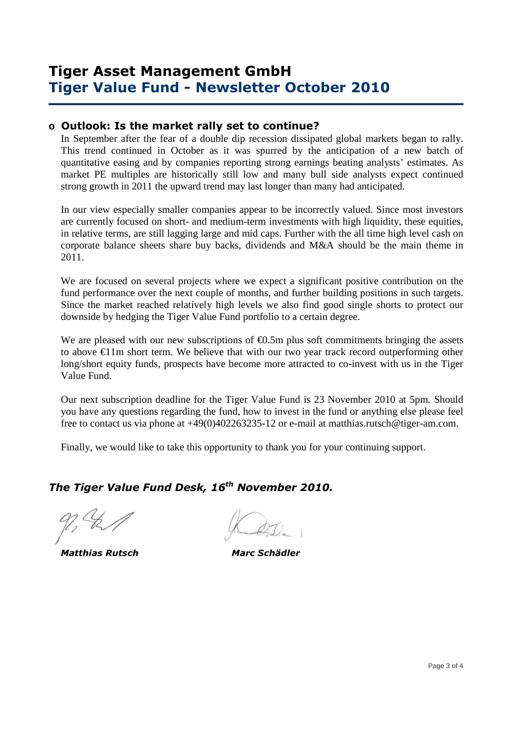# **Tiger Asset Management GmbH Tiger Value Fund - Newsletter October 2010**

### **o Outlook: Is the market rally set to continue?**

In September after the fear of a double dip recession dissipated global markets began to rally. This trend continued in October as it was spurred by the anticipation of a new batch of quantitative easing and by companies reporting strong earnings beating analysts' estimates. As market PE multiples are historically still low and many bull side analysts expect continued strong growth in 2011 the upward trend may last longer than many had anticipated.

In our view especially smaller companies appear to be incorrectly valued. Since most investors are currently focused on short- and medium-term investments with high liquidity, these equities, in relative terms, are still lagging large and mid caps. Further with the all time high level cash on corporate balance sheets share buy backs, dividends and M&A should be the main theme in 2011.

We are focused on several projects where we expect a significant positive contribution on the fund performance over the next couple of months, and further building positions in such targets. Since the market reached relatively high levels we also find good single shorts to protect our downside by hedging the Tiger Value Fund portfolio to a certain degree.

We are pleased with our new subscriptions of  $\epsilon$ 0.5m plus soft commitments bringing the assets to above €11m short term. We believe that with our two year track record outperforming other long/short equity funds, prospects have become more attracted to co-invest with us in the Tiger Value Fund.

Our next subscription deadline for the Tiger Value Fund is 23 November 2010 at 5pm. Should you have any questions regarding the fund, how to invest in the fund or anything else please feel free to contact us via phone at +49(0)402263235-12 or e-mail at matthias.rutsch@tiger-am.com.

Finally, we would like to take this opportunity to thank you for your continuing support.

### *The Tiger Value Fund Desk, 16th November 2010.*

 *Matthias Rutsch Marc Schädler*